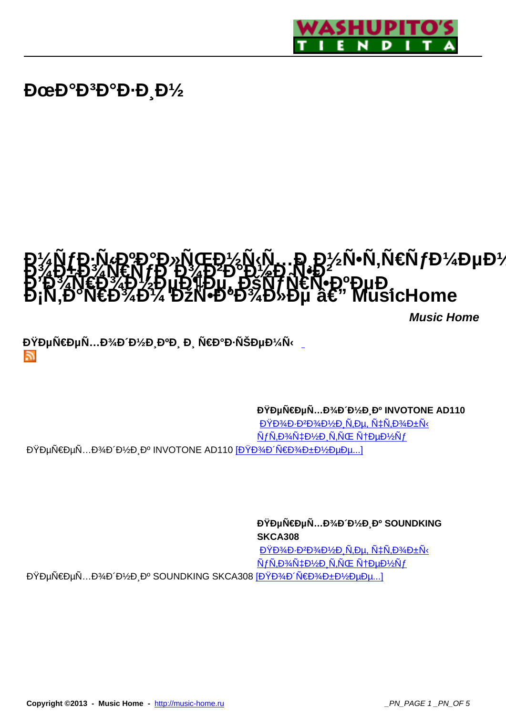

# $D$ œ $D$ ° $D$ <sup>3</sup> $D$ ° $D$  $D$ , $D$ <sup> $\gamma$ </sup><sub>2</sub>

# **D'/NfD.N.DºD°D»NCED'/N.N., D.D'/^N.N€NfD'/**^DµD'/2<br>R%D+D%N€NfR.D%R°D`D'&D.N°D? **Б%В4Б%N€ÑfÐ Đ%ÐФĐ%Ð Ñ•Ђ2......**<br>В В АХ€Р, Ф, ФµД¶Рµ, ЊÑſ N€Ñ•кРµ Đ**″Đ∛AV∉Đ∛ÆD½ĐµĐ¶Đµ, ĐšÑ7N€Ň•ĐºĐu Đ**<br>Đ<sub>i</sub>N,аN€Đ¾Đ¼ ĐžN•ĐºĐ¾Đ»Đµ — Music Home

**Music Home**

**ĐŸĐµÑ€ĐµÑ...Đ¾Đ´Đ½Đ ĐºĐ Đ, Ñ€Đ°Đ⋅ÑŠĐµĐ¼Ñ**‹ 5.

**Đ**Ϋ́еÑ...Đ<sup>3</sup>⁄4Đ Đ'/2Đ Đº INVOTONE AD110

 $D\overline{Y}D\overline{Y}D\overline{Y}D\overline{Y}D\overline{Y}D\overline{Y}D\overline{Y}D\overline{Y}D\overline{Y}D\overline{Y}D\overline{Y}D\overline{Y}D\overline{Y}D\overline{Y}D\overline{Y}D\overline{Y}D\overline{Y}D\overline{Y}D\overline{Y}D\overline{Y}D\overline{Y}D\overline{Y}D\overline{Y}D\overline{Y}D\overline{Y}D\overline{Y}D\overline{Y}D\overline{Y}D\overline{Y}D\overline{Y}D\overline{Y}D\over$  $\tilde{N}f\tilde{N}$ ,  $D\%$  $\tilde{N}$  $\ddagger$  $D\%$  $\tilde{D}$   $\tilde{N}$ ,  $\tilde{N}$  $\tilde{C}$   $\tilde{N}$  $\ddagger$  $D\%$  $\tilde{N}$  $\tilde{D}$ ĐŸĐµÑ€ĐµÑ...Đ¾Đ Đ¼Đ Đº INVOTONE AD110 [ĐŸĐ¾Đ NEĐ¾Đ±Đ½ĐµĐµ...]

**ĐŸĐµÑ€ĐµÑ…Đ¾Đ´Đ½Đ¸Đº SOUNDKING SKCA308**  $D\overline{Y}D\overline{Y}D\overline{Y}D\overline{Y}D\overline{Y}D\overline{Y}D\overline{Y}D\overline{Y}D\overline{Y}D\overline{Y}D\overline{Y}D\overline{Y}D\overline{Y}D\overline{Y}D\overline{Y}D\overline{Y}D\overline{Y}D\overline{Y}D\overline{Y}D\overline{Y}D\overline{Y}D\overline{Y}D\overline{Y}D\overline{Y}D\overline{Y}D\overline{Y}D\overline{Y}D\overline{Y}D\overline{Y}D\overline{Y}D\overline{Y}D\over$  $\tilde{N}f\tilde{N}P^{3}A\tilde{N}P^{1}B^{1}A$ ĐŸĐµÑ€ĐµÑ...Đ¾Đ Đ½Đ Đº SOUNDKING SKCA308 [Đ<del>ŸĐ¾Đ 'Ñ€Đ¾Đ±Đ½ĐµĐ</del>µ...]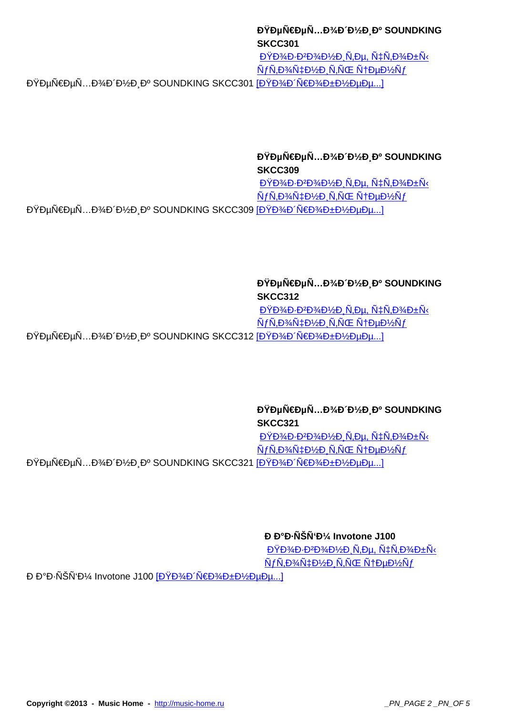**SKCC301**  $D\overline{Y}D\overline{Y}D\overline{Y}D\overline{Y}D\overline{Y}D\overline{Y}D\overline{Y}D\overline{Y}D\overline{Y}D\overline{Y}D\overline{Y}D\overline{Y}D\overline{Y}D\overline{Y}D\overline{Y}D\overline{Y}D\overline{Y}D\overline{Y}D\overline{Y}D\overline{Y}D\overline{Y}D\overline{Y}D\overline{Y}D\overline{Y}D\overline{Y}D\overline{Y}D\overline{Y}D\overline{Y}D\overline{Y}D\overline{Y}D\overline{Y}D\over$  $\tilde{N}f\tilde{N}$ ,  $D\%$  $\tilde{N}$  $\ddagger$  $D\%$  $D\%$ ,  $\tilde{N}$  $\tilde{N}$  $\tilde{C}$ ,  $\tilde{N}$  $\ddagger$  $D\%$  $\tilde{N}$  $\tilde{D}$ ĐŸĐµÑ€ĐµÑ...Đ¾Đ Đ¼Đ Đº SOUNDKING SKCC301 [ĐŸĐ¾Đ Ñ€Đ¾Đ±Đ¼ĐµĐµ...]

> **ĐŸĐµÑ€ĐµÑ...Đ¾Đ Đ¼Đ Đº SOUNDKING SKCC309**

 $D\overline{Y}D\overline{Y}D\overline{Y}D\overline{Y}D\overline{Y}D\overline{Y}D\overline{Y}D\overline{Y}D\overline{Y}D\overline{Y}D\overline{Y}D\overline{Y}D\overline{Y}D\overline{Y}D\overline{Y}D\overline{Y}D\overline{Y}D\overline{Y}D\overline{Y}D\overline{Y}D\overline{Y}D\overline{Y}D\overline{Y}D\overline{Y}D\overline{Y}D\overline{Y}D\overline{Y}D\overline{Y}D\overline{Y}D\overline{Y}D\overline{Y}D\over$  $NfN, D\%NfD\%D, N, NGENfD\#D\%Nf$ ĐŸĐµÑ€ĐµÑ...Đ¾Đ Đ½Đ¸Đº SOUNDKING SKCC309 [Đ<del>ŸĐ¾Đ Ń€Đ¾Đ±Đ½ĐµĐ</del>µ...]

**ĐŸĐµÑ€ĐµÑ...Đ¾Đ Đ¼Đ Đº SOUNDKING SKCC312** Позвоните, чтобы  $\tilde{N}f\tilde{N}$ ,  $D\frac{3}{4}\tilde{N}$  $\pm D\frac{1}{2}D$ ,  $\tilde{N}$ ,  $\tilde{N}$  (**C**  $\tilde{N}$  $\pm D\mu D\frac{1}{2}\tilde{N}f$ ĐŸĐµÑ€ĐµÑ...Đ¾Đ Đ1⁄2иĐº SOUNDKING SKCC312 [<u>ĐŸĐ¾Đ 'Ñ€Đ¾Đ±Đ1⁄2ее...</u>]

**ĐŸĐµÑ€ĐµÑ...Đ¾Đ Đ¼Đ Đº SOUNDKING SKCC321**  $D\overline{Y}D\overline{Y}D\overline{Y}D\overline{Y}D\overline{Y}D\overline{Y}D\overline{Y}D\overline{Y}D\overline{Y}D\overline{Y}D\overline{Y}D\overline{Y}D\overline{Y}D\overline{Y}D\overline{Y}D\overline{Y}D\overline{Y}D\overline{Y}D\overline{Y}D\overline{Y}D\overline{Y}D\overline{Y}D\overline{Y}D\overline{Y}D\overline{Y}D\overline{Y}D\overline{Y}D\overline{Y}D\overline{Y}D\overline{Y}D\overline{Y}D\over$  $\tilde{N}f\tilde{N}$ ,  $D\%$  $\tilde{N}$  $\ddagger$  $D\%$  $D\%$ ,  $\tilde{N}$  $\ddot{N}$  $\ddagger$  $D\%$  $\tilde{N}$  $\ddagger$ ĐŸĐµÑ€ĐµÑ...Đ¾Đ´Đ½Đ¸Đº SOUNDKING SKCC321 [ĐŸĐ¾Đ´Ñ€Đ¾Đ±Đ½ĐµĐµ...]

*<u>D D°D NŠN'D'* Invotone J100</u>

 $D\overline{Y}D\overline{Y}D\overline{Y}D\overline{Y}D\overline{Y}D\overline{Y}D\overline{Y}D\overline{Y}D\overline{Y}D\overline{Y}D\overline{Y}D\overline{Y}D\overline{Y}D\overline{Y}D\overline{Y}D\overline{Y}D\overline{Y}D\overline{Y}D\overline{Y}D\overline{Y}D\overline{Y}D\overline{Y}D\overline{Y}D\overline{Y}D\overline{Y}D\overline{Y}D\overline{Y}D\overline{Y}D\overline{Y}D\overline{Y}D\overline{Y}D\over$  $\tilde{N}f\tilde{N}$ ,  $D\frac{3}{4}\tilde{N}$  $\pm D\frac{1}{2}D$ ,  $\tilde{N}$ ,  $\tilde{N}$  (**C**  $\tilde{N}$  $\pm D\mu D\frac{1}{2}\tilde{N}f$ 

**Đ** аĐ⋅ÑŠÑʻĐ¼ Invotone J100 [ĐŸĐ¾Đ´Ñ€Đ¾Đ±Đ½ĐµĐµ...]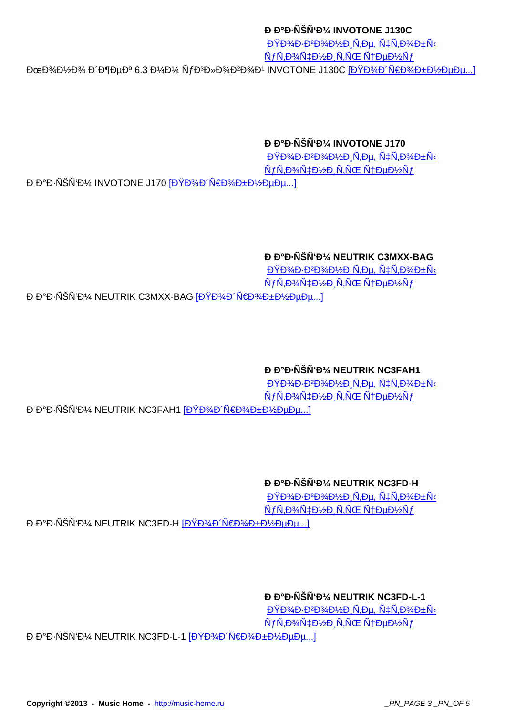Позвоните, чтобы  $\tilde{N}$ f $\tilde{N}$ ,  $D\%$  $\tilde{N}$  $\updownarrow$   $D\%$  $D$   $\tilde{N}$ ,  $\tilde{N}$   $\tilde{C}$   $\tilde{N}$   $\updownarrow$   $D\%$  $\tilde{N}$  $f$ ĐœĐ¾Đ½Đ¾ РжеĐº 6.3 Đ¼Đ¼ ÑfĐ<sup>3</sup>Đ»Đ¾Đ<sup>2</sup>4Đ<sup>2</sup>D¾Đ1 INVOTONE J130С [ĐŸĐ¾Đ Ñ€Đ¾Đ±Đ½ĐµĐµ...]

#### **РаĐ NŠNʻĐ¼ INVOTONE J170**

 $D\overline{Y}D\overline{Y}D + D\overline{Y}D\overline{Y}D\overline{Y}D + \overline{N}D\overline{Y}D$  $\tilde{N}f\tilde{N}$ ,  $D\%$  $\tilde{N}$  $\ddagger$  $D\%$  $\tilde{D}$   $\tilde{N}$ ,  $\tilde{N}$  $\tilde{C}$   $\tilde{N}$  $\ddagger$  $D\%$  $\tilde{N}$  $\tilde{D}$ 

**Ð Đ°Đ⋅ÑŠÑʻĐ¼ INVOTONE J170 [ĐŸĐ¾Đ´Ñ€Đ¾Đ±Đ½ĐµĐµ...]** 

#### *<b>Đ* ĐĐ-ÑŠÑ'Đ¼ NEUTRIK C3MXX-BAG

 $D\overline{Y}D\overline{Y}D\overline{Y}D\overline{Y}D\overline{Y}D\overline{Y}D\overline{Y}D\overline{Y}D\overline{Y}D\overline{Y}D\overline{Y}D\overline{Y}D\overline{Y}D\overline{Y}D\overline{Y}D\overline{Y}D\overline{Y}D\overline{Y}D\overline{Y}D\overline{Y}D\overline{Y}D\overline{Y}D\overline{Y}D\overline{Y}D\overline{Y}D\overline{Y}D\overline{Y}D\overline{Y}D\overline{Y}D\overline{Y}D\overline{Y}D\over$  $\tilde{N}f\tilde{N}$ ,  $D\frac{3}{4}\tilde{N}$  $\ddagger$  $D\frac{1}{2}D$ ,  $\tilde{N}$ ,  $\tilde{N}$ OE,  $\tilde{N}$  $\ddagger$  $D\mu D\frac{1}{2}\tilde{N}f$ РаĐ⋅ÑŠÑʻĐ¼ NEUTRIK C3MXX-BAG [ĐŸĐ¾Đ´Ñ€Đ¾Đ±Đ½ĐµĐµ...]

### **РаĐ NŠÑ'Đ¼ NEUTRIK NC3FAH1**

 $D\overline{Y}D\overline{Y}D\overline{Y}D\cdot D\overline{Y}D\overline{Y}D\overline{Y}D\overline{Y}D\overline{Y}D\overline{Y}D\overline{Y}D\overline{Y}D\overline{Y}D\overline{Y}D\overline{Y}D\overline{Y}D\overline{Y}D\overline{Y}D\overline{Y}D\overline{Y}D\overline{Y}D\overline{Y}D\overline{Y}D\overline{Y}D\overline{Y}D\overline{Y}D\overline{Y}D\overline{Y}D\overline{Y}D\overline{Y}D\overline{Y}D\overline{Y}$  $\tilde{N}$ f $\tilde{N}$ ,  $D\%$  $\tilde{N}$  $\updownarrow$   $D\%$  $D$   $\tilde{N}$ ,  $\tilde{N}$   $\tilde{C}$   $\tilde{N}$   $\updownarrow$   $D\%$  $\tilde{N}$  $f$ **Ð Đ°Đ⋅ÑŠÑʻĐ¼ NEUTRIK NC3FAH1 [ĐŸĐ¾Đ´Ñ€Đ¾Đ±Đ½ĐuĐu...]** 

## **РаĐ NŠNʻĐ¼ NEUTRIK NC3FD-H**

 $D\overline{Y}D\overline{Y}D\overline{Y}DD\overline{Y}D\overline{Y}D\overline{Y}D\overline{Y}D\overline{Y}D\overline{Y}D\overline{Y}D\overline{Y}D\overline{Y}D\overline{Y}D\overline{Y}D\overline{Y}D\overline{Y}D\overline{Y}D\overline{Y}D\overline{Y}D\overline{Y}D\overline{Y}D\overline{Y}D\overline{Y}D\overline{Y}D\overline{Y}D\overline{Y}D\overline{Y}D\overline{Y}D\overline{Y}D\overline{Y}D\overline{Y}D\$  $\tilde{N}f\tilde{N}, D\frac{3}{4}\tilde{N}$  $\ddagger D\frac{1}{2}D, \tilde{N}, \tilde{N}$ CE  $\tilde{N}$  $\dagger D\mu D\frac{1}{2}\tilde{N}f$ 

РаĐ⋅ÑŠÑʻĐ¼ NEUTRIK NC3FD-Н [ĐŸĐ¾Đ´Ñ€Đ¾Đ±Đ½ĐµĐµ...]

## **РаĐ NŠNʻĐ¼ NEUTRIK NC3FD-L-1**

 $D\overline{Y}D\overline{Y}D\overline{Y}D\cdot D\overline{Y}D\overline{Y}D\overline{Y}D\overline{Y}D\overline{Y}D\overline{Y}D\overline{Y}D\overline{Y}D\overline{Y}D\overline{Y}D\overline{Y}D\overline{Y}D\overline{Y}D\overline{Y}D\overline{Y}D\overline{Y}D\overline{Y}D\overline{Y}D\overline{Y}D\overline{Y}D\overline{Y}D\overline{Y}D\overline{Y}D\overline{Y}D\overline{Y}D\overline{Y}D\overline{Y}D\overline{Y}$  $\tilde{N}f\tilde{N}$ ,  $D\frac{3}{4}\tilde{N}$  $\ddagger$  $D\frac{1}{2}D$ ,  $\tilde{N}$ ,  $\tilde{N}$ OE,  $\tilde{N}$  $\ddagger$  $D\mu D\frac{1}{2}\tilde{N}f$ 

РаÐ⋅ÑŠÑʻм NEUTRIK NC3FD-L-1 [ПодробнÐμÐμ...]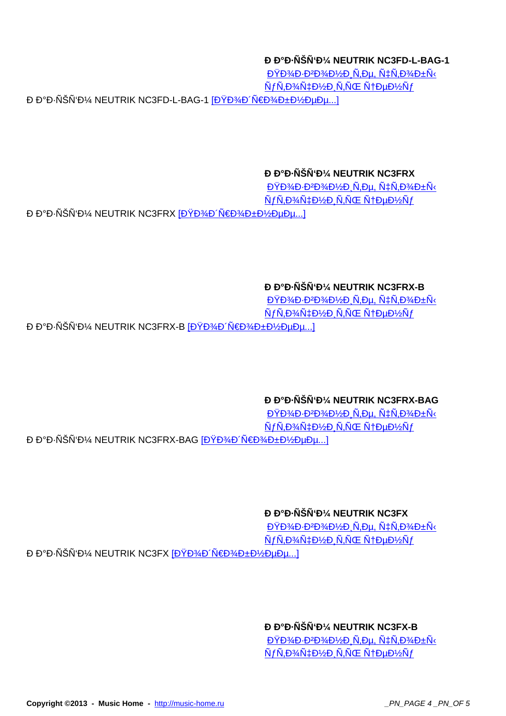#### **РаĐ NŠNʻĐ¼ NEUTRIK NC3FD-L-BAG-1**

 $D\overline{Y}D\overline{Y}D\overline{Y}DD\overline{Y}D\overline{Y}D\overline{Y}D\overline{Y}D\overline{Y}D\overline{Y}D\overline{Y}D\overline{Y}D\overline{Y}D\overline{Y}D\overline{Y}D\overline{Y}D\overline{Y}D\overline{Y}D\overline{Y}D\overline{Y}D\overline{Y}D\overline{Y}D\overline{Y}D\overline{Y}D\overline{Y}D\overline{Y}D\overline{Y}D\overline{Y}D\overline{Y}D\overline{Y}D\overline{Y}D\overline{Y}D\$  $\tilde{N}f\tilde{N}$ ,  $D\frac{3}{4}\tilde{N}$  $\ddagger$  $D\frac{1}{2}D$ ,  $\tilde{N}$ ,  $\tilde{N}$ OE,  $\tilde{N}$  $\ddagger$  $D\mu D\frac{1}{2}\tilde{N}f$ РаĐ⋅ÑŠÑʻĐ¼ NEUTRIK NC3FD-L-BAG-1 [ĐŸĐ¾Đ´Ñ€Đ¾Đ±Đ½ĐµĐµ...]

#### **РаĐ NŠÑʻĐ¼ NEUTRIK NC3FRX**

 $D\overline{Y}D\overline{Y}D\overline{Y}D\overline{Y}D\overline{Y}D\overline{Y}D\overline{Y}D\overline{Y}D\overline{Y}D\overline{Y}D\overline{Y}D\overline{Y}D\overline{Y}D\overline{Y}D\overline{Y}D\overline{Y}D\overline{Y}D\overline{Y}D\overline{Y}D\overline{Y}D\overline{Y}D\overline{Y}D\overline{Y}D\overline{Y}D\overline{Y}D\overline{Y}D\overline{Y}D\overline{Y}D\overline{Y}D\overline{Y}D\overline{Y}D\over$  $\tilde{N}f\tilde{N}$ ,  $D\frac{3}{4}\tilde{N}$  $\ddagger$  $D\frac{1}{2}D\frac{1}{2}\tilde{N}$ ,  $\tilde{N}$ CE  $\tilde{N}$  $\ddagger$  $D\mu D\frac{1}{2}\tilde{N}f$ **Ð Đ°Đ⋅ÑŠÑʻĐ¼ NEUTRIK NC3FRX [ĐŸĐ¾Đ´Ñ€Đ¾Đ±Đ½ĐµĐµ...]** 

### **РаĐ NŠNʻĐ¼ NEUTRIK NC3FRX-B**

 $D\overline{Y}D\overline{Y}D\overline{Y}DD\overline{Y}D\overline{Y}D\overline{Y}D\overline{Y}D\overline{Y}D\overline{Y}D\overline{Y}D\overline{Y}D\overline{Y}D\overline{Y}D\overline{Y}D\overline{Y}D\overline{Y}D\overline{Y}D\overline{Y}D\overline{Y}D\overline{Y}D\overline{Y}D\overline{Y}D\overline{Y}D\overline{Y}D\overline{Y}D\overline{Y}D\overline{Y}D\overline{Y}D\overline{Y}D\overline{Y}D\overline{Y}D\$  $\tilde{N}f\tilde{N}$ ,  $D\frac{3}{4}\tilde{N}$  $\ddagger$  $D\frac{1}{2}D$ ,  $\tilde{N}$ ,  $\tilde{N}$ OE,  $\tilde{N}$  $\ddagger$  $D\mu D\frac{1}{2}\tilde{N}f$ **Ð Đ°Ð⋅ÑŠÑʻм NEUTRIK NC3FRX-В [Подробме**е...]

## *<b>Đ Đ***°Đ NŠN Đ¼ NEUTRIK NC3FRX-BAG**

 $D\overline{Y}D\overline{Y}D\overline{Y}D\cdot D\overline{Y}D\overline{Y}D\overline{Y}D\overline{Y}D\overline{Y}D\overline{Y}D\overline{Y}D\overline{Y}D\overline{Y}D\overline{Y}D\overline{Y}D\overline{Y}D\overline{Y}D\overline{Y}D\overline{Y}D\overline{Y}D\overline{Y}D\overline{Y}D\overline{Y}D\overline{Y}D\overline{Y}D\overline{Y}D\overline{Y}D\overline{Y}D\overline{Y}D\overline{Y}D\overline{Y}D\overline{Y}$  $\tilde{N}f\tilde{N}$ ,  $D\frac{3}{4}\tilde{N}$  $\ddagger$  $D\frac{1}{2}D$ ,  $\tilde{N}$ ,  $\tilde{N}$ OE,  $\tilde{N}$  $\ddagger$  $D\mu D\frac{1}{2}\tilde{N}f$ Ð Đ°Ð⋅ÑŠÑʻм NEUTRIK NC3FRX-BAG [ПодробнÐμÐμ...]

## *<b>Đ*<sup>P</sup>Đ·ÑŠÑ'Đ¼ NEUTRIK NC3FX

 $D\overline{Y}D\overline{Y}D\overline{Y}DD\overline{Y}D\overline{Y}D\overline{Y}D\overline{Y}D\overline{Y}D\overline{Y}D\overline{Y}D\overline{Y}D\overline{Y}D\overline{Y}D\overline{Y}D\overline{Y}D\overline{Y}D\overline{Y}D\overline{Y}D\overline{Y}D\overline{Y}D\overline{Y}D\overline{Y}D\overline{Y}D\overline{Y}D\overline{Y}D\overline{Y}D\overline{Y}D\overline{Y}D\overline{Y}D\overline{Y}D\overline{Y}D\$  $\tilde{N}f\tilde{N}$ ,  $D\%$  $\tilde{N}$  $\ddagger$  $D\%$  $\tilde{D}$   $\tilde{N}$ ,  $\tilde{N}$  $\tilde{C}$   $\tilde{N}$  $\ddagger$  $D\%$  $\tilde{N}$  $\tilde{D}$ 

**Ð Đ°Ð⋅ÑŠÑʻм NEUTRIK NC3FX [Подробмее...]** 

## **РаĐ NŠNʻĐ¼ NEUTRIK NC3FX-B**

 $D\overline{Y}D\overline{Y}D\overline{Y}DD\overline{Y}D\overline{Y}D\overline{Y}D\overline{Y}D\overline{Y}D\overline{Y}D\overline{Y}D\overline{Y}D\overline{Y}D\overline{Y}D\overline{Y}D\overline{Y}D\overline{Y}D\overline{Y}D\overline{Y}D\overline{Y}D\overline{Y}D\overline{Y}D\overline{Y}D\overline{Y}D\overline{Y}D\overline{Y}D\overline{Y}D\overline{Y}D\overline{Y}D\overline{Y}D\overline{Y}D\overline{Y}D\$  $\tilde{N}$ f $\tilde{N}$ ,Đ¾ $\tilde{N}$ ‡Đ¼Đ  $\tilde{N}$ , $\tilde{N}$ Œ $\tilde{N}$ †ĐµĐ¼ $\tilde{N}$ f